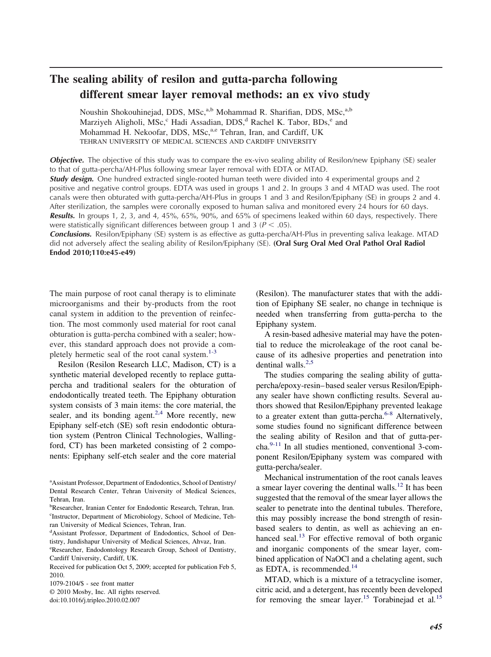# **The sealing ability of resilon and gutta-parcha following different smear layer removal methods: an ex vivo study**

Noushin Shokouhinejad, DDS, MSc,<sup>a,b</sup> Mohammad R. Sharifian, DDS, MSc,<sup>a,b</sup> Marziyeh Aligholi, MSc,<sup>c</sup> Hadi Assadian, DDS,<sup>d</sup> Rachel K. Tabor, BDs,<sup>e</sup> and Mohammad H. Nekoofar, DDS, MSc,<sup>a,e</sup> Tehran, Iran, and Cardiff, UK TEHRAN UNIVERSITY OF MEDICAL SCIENCES AND CARDIFF UNIVERSITY

**Obiective.** The objective of this study was to compare the ex-vivo sealing ability of Resilon/new Epiphany (SE) sealer to that of gutta-percha/AH-Plus following smear layer removal with EDTA or MTAD.

**Study design.** One hundred extracted single-rooted human teeth were divided into 4 experimental groups and 2 positive and negative control groups. EDTA was used in groups 1 and 2. In groups 3 and 4 MTAD was used. The root canals were then obturated with gutta-percha/AH-Plus in groups 1 and 3 and Resilon/Epiphany (SE) in groups 2 and 4. After sterilization, the samples were coronally exposed to human saliva and monitored every 24 hours for 60 days. *Results.* In groups 1, 2, 3, and 4, 45%, 65%, 90%, and 65% of specimens leaked within 60 days, respectively. There were statistically significant differences between group 1 and 3 ( $P < .05$ ).

*Conclusions.* Resilon/Epiphany (SE) system is as effective as gutta-percha/AH-Plus in preventing saliva leakage. MTAD did not adversely affect the sealing ability of Resilon/Epiphany (SE). **(Oral Surg Oral Med Oral Pathol Oral Radiol Endod 2010;110:e45-e49)**

The main purpose of root canal therapy is to eliminate microorganisms and their by-products from the root canal system in addition to the prevention of reinfection. The most commonly used material for root canal obturation is gutta-percha combined with a sealer; however, this standard approach does not provide a completely hermetic seal of the root canal system. $1-3$ 

Resilon (Resilon Research LLC, Madison, CT) is a synthetic material developed recently to replace guttapercha and traditional sealers for the obturation of endodontically treated teeth. The Epiphany obturation system consists of 3 main items: the core material, the sealer, and its bonding agent. $2.4$  More recently, new Epiphany self-etch (SE) soft resin endodontic obturation system (Pentron Clinical Technologies, Wallingford, CT) has been marketed consisting of 2 components: Epiphany self-etch sealer and the core material

© 2010 Mosby, Inc. All rights reserved.

doi:10.1016/j.tripleo.2010.02.007

(Resilon). The manufacturer states that with the addition of Epiphany SE sealer, no change in technique is needed when transferring from gutta-percha to the Epiphany system.

A resin-based adhesive material may have the potential to reduce the microleakage of the root canal because of its adhesive properties and penetration into dentinal walls.<sup>[2,5](#page-3-0)</sup>

The studies comparing the sealing ability of guttapercha/epoxy-resin– based sealer versus Resilon/Epiphany sealer have shown conflicting results. Several authors showed that Resilon/Epiphany prevented leakage to a greater extent than gutta-percha. $6-8$  Alternatively, some studies found no significant difference between the sealing ability of Resilon and that of gutta-percha[.9-11](#page-4-0) In all studies mentioned, conventional 3-component Resilon/Epiphany system was compared with gutta-percha/sealer.

Mechanical instrumentation of the root canals leaves a smear layer covering the dentinal walls.<sup>[12](#page-4-0)</sup> It has been suggested that the removal of the smear layer allows the sealer to penetrate into the dentinal tubules. Therefore, this may possibly increase the bond strength of resinbased sealers to dentin, as well as achieving an enhanced seal.<sup>13</sup> For effective removal of both organic and inorganic components of the smear layer, combined application of NaOCl and a chelating agent, such as EDTA, is recommended.<sup>[14](#page-4-0)</sup>

MTAD, which is a mixture of a tetracycline isomer, citric acid, and a detergent, has recently been developed for removing the smear layer.<sup>[15](#page-4-0)</sup> Torabinejad et al.<sup>15</sup>

<sup>&</sup>lt;sup>a</sup> Assistant Professor, Department of Endodontics, School of Dentistry/ Dental Research Center, Tehran University of Medical Sciences, Tehran, Iran.

b Researcher, Iranian Center for Endodontic Research, Tehran, Iran. c Instructor, Department of Microbiology, School of Medicine, Tehran University of Medical Sciences, Tehran, Iran.

d Assistant Professor, Department of Endodontics, School of Dentistry, Jundishapur University of Medical Sciences, Ahvaz, Iran.

e Researcher, Endodontology Research Group, School of Dentistry, Cardiff University, Cardiff, UK.

Received for publication Oct 5, 2009; accepted for publication Feb 5, 2010.

<sup>1079-2104/\$ -</sup> see front matter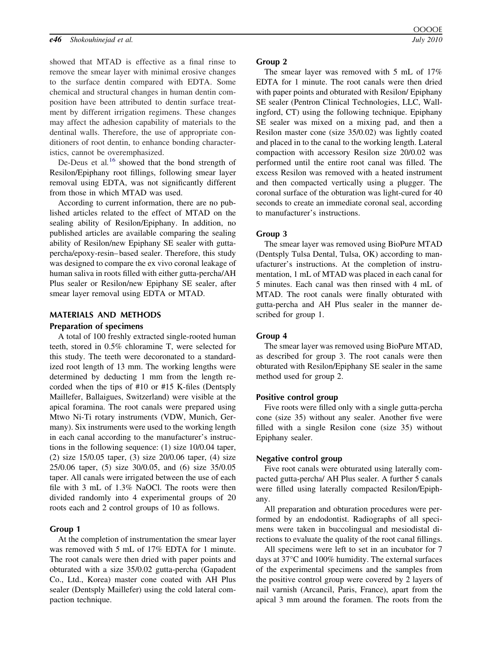showed that MTAD is effective as a final rinse to remove the smear layer with minimal erosive changes to the surface dentin compared with EDTA. Some chemical and structural changes in human dentin composition have been attributed to dentin surface treatment by different irrigation regimens. These changes may affect the adhesion capability of materials to the dentinal walls. Therefore, the use of appropriate conditioners of root dentin, to enhance bonding characteristics, cannot be overemphasized.

De-Deus et al.<sup>[16](#page-4-0)</sup> showed that the bond strength of Resilon/Epiphany root fillings, following smear layer removal using EDTA, was not significantly different from those in which MTAD was used.

According to current information, there are no published articles related to the effect of MTAD on the sealing ability of Resilon/Epiphany. In addition, no published articles are available comparing the sealing ability of Resilon/new Epiphany SE sealer with guttapercha/epoxy-resin– based sealer. Therefore, this study was designed to compare the ex vivo coronal leakage of human saliva in roots filled with either gutta-percha/AH Plus sealer or Resilon/new Epiphany SE sealer, after smear layer removal using EDTA or MTAD.

# **MATERIALS AND METHODS**

## **Preparation of specimens**

A total of 100 freshly extracted single-rooted human teeth, stored in 0.5% chloramine T, were selected for this study. The teeth were decoronated to a standardized root length of 13 mm. The working lengths were determined by deducting 1 mm from the length recorded when the tips of #10 or #15 K-files (Dentsply Maillefer, Ballaigues, Switzerland) were visible at the apical foramina. The root canals were prepared using Mtwo Ni-Ti rotary instruments (VDW, Munich, Germany). Six instruments were used to the working length in each canal according to the manufacturer's instructions in the following sequence: (1) size 10/0.04 taper, (2) size 15/0.05 taper, (3) size 20/0.06 taper, (4) size 25/0.06 taper, (5) size 30/0.05, and (6) size 35/0.05 taper. All canals were irrigated between the use of each file with 3 mL of 1.3% NaOCl. The roots were then divided randomly into 4 experimental groups of 20 roots each and 2 control groups of 10 as follows.

# **Group 1**

At the completion of instrumentation the smear layer was removed with 5 mL of 17% EDTA for 1 minute. The root canals were then dried with paper points and obturated with a size 35/0.02 gutta-percha (Gapadent Co., Ltd., Korea) master cone coated with AH Plus sealer (Dentsply Maillefer) using the cold lateral compaction technique.

#### **Group 2**

The smear layer was removed with 5 mL of 17% EDTA for 1 minute. The root canals were then dried with paper points and obturated with Resilon/ Epiphany SE sealer (Pentron Clinical Technologies, LLC, Wallingford, CT) using the following technique. Epiphany SE sealer was mixed on a mixing pad, and then a Resilon master cone (size 35/0.02) was lightly coated and placed in to the canal to the working length. Lateral compaction with accessory Resilon size 20/0.02 was performed until the entire root canal was filled. The excess Resilon was removed with a heated instrument and then compacted vertically using a plugger. The coronal surface of the obturation was light-cured for 40 seconds to create an immediate coronal seal, according to manufacturer's instructions.

#### **Group 3**

The smear layer was removed using BioPure MTAD (Dentsply Tulsa Dental, Tulsa, OK) according to manufacturer's instructions. At the completion of instrumentation, 1 mL of MTAD was placed in each canal for 5 minutes. Each canal was then rinsed with 4 mL of MTAD. The root canals were finally obturated with gutta-percha and AH Plus sealer in the manner described for group 1.

## **Group 4**

The smear layer was removed using BioPure MTAD, as described for group 3. The root canals were then obturated with Resilon/Epiphany SE sealer in the same method used for group 2.

#### **Positive control group**

Five roots were filled only with a single gutta-percha cone (size 35) without any sealer. Another five were filled with a single Resilon cone (size 35) without Epiphany sealer.

## **Negative control group**

Five root canals were obturated using laterally compacted gutta-percha/ AH Plus sealer. A further 5 canals were filled using laterally compacted Resilon/Epiphany.

All preparation and obturation procedures were performed by an endodontist. Radiographs of all specimens were taken in buccolingual and mesiodistal directions to evaluate the quality of the root canal fillings.

All specimens were left to set in an incubator for 7 days at 37°C and 100% humidity. The external surfaces of the experimental specimens and the samples from the positive control group were covered by 2 layers of nail varnish (Arcancil, Paris, France), apart from the apical 3 mm around the foramen. The roots from the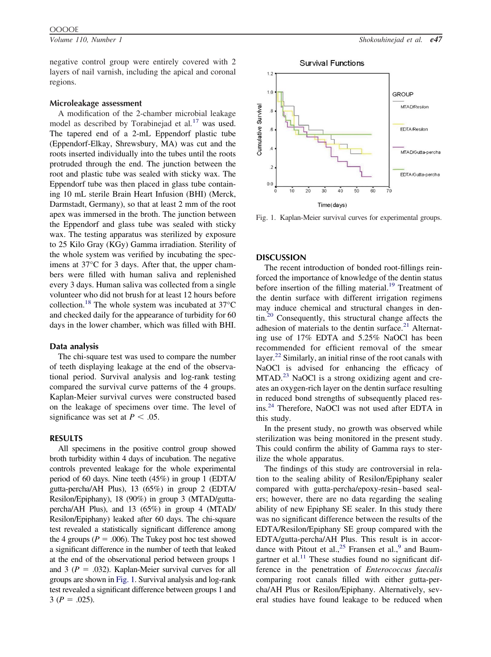negative control group were entirely covered with 2 layers of nail varnish, including the apical and coronal regions.

## **Microleakage assessment**

A modification of the 2-chamber microbial leakage model as described by Torabinejad et al*.* [17](#page-4-0) was used. The tapered end of a 2-mL Eppendorf plastic tube (Eppendorf-Elkay, Shrewsbury, MA) was cut and the roots inserted individually into the tubes until the roots protruded through the end. The junction between the root and plastic tube was sealed with sticky wax. The Eppendorf tube was then placed in glass tube containing 10 mL sterile Brain Heart Infusion (BHI) (Merck, Darmstadt, Germany), so that at least 2 mm of the root apex was immersed in the broth. The junction between the Eppendorf and glass tube was sealed with sticky wax. The testing apparatus was sterilized by exposure to 25 Kilo Gray (KGy) Gamma irradiation. Sterility of the whole system was verified by incubating the specimens at 37°C for 3 days. After that, the upper chambers were filled with human saliva and replenished every 3 days. Human saliva was collected from a single volunteer who did not brush for at least 12 hours before collection.[18](#page-4-0) The whole system was incubated at 37°C and checked daily for the appearance of turbidity for 60 days in the lower chamber, which was filled with BHI.

## **Data analysis**

The chi-square test was used to compare the number of teeth displaying leakage at the end of the observational period. Survival analysis and log-rank testing compared the survival curve patterns of the 4 groups. Kaplan-Meier survival curves were constructed based on the leakage of specimens over time. The level of significance was set at  $P < .05$ .

## **RESULTS**

All specimens in the positive control group showed broth turbidity within 4 days of incubation. The negative controls prevented leakage for the whole experimental period of 60 days. Nine teeth (45%) in group 1 (EDTA/ gutta-percha/AH Plus), 13 (65%) in group 2 (EDTA/ Resilon/Epiphany), 18 (90%) in group 3 (MTAD/guttapercha/AH Plus), and 13 (65%) in group 4 (MTAD/ Resilon/Epiphany) leaked after 60 days. The chi-square test revealed a statistically significant difference among the 4 groups ( $P = .006$ ). The Tukey post hoc test showed a significant difference in the number of teeth that leaked at the end of the observational period between groups 1 and 3 ( $P = .032$ ). Kaplan-Meier survival curves for all groups are shown in Fig. 1. Survival analysis and log-rank test revealed a significant difference between groups 1 and  $3 (P = .025).$ 



Fig. 1. Kaplan-Meier survival curves for experimental groups.

## **DISCUSSION**

The recent introduction of bonded root-fillings reinforced the importance of knowledge of the dentin status before insertion of the filling material.<sup>[19](#page-4-0)</sup> Treatment of the dentin surface with different irrigation regimens may induce chemical and structural changes in dentin[.20](#page-4-0) Consequently, this structural change affects the adhesion of materials to the dentin surface.<sup>[21](#page-4-0)</sup> Alternating use of 17% EDTA and 5.25% NaOCl has been recommended for efficient removal of the smear layer.<sup>[22](#page-4-0)</sup> Similarly, an initial rinse of the root canals with NaOCl is advised for enhancing the efficacy of  $MTAD<sup>23</sup>$  $MTAD<sup>23</sup>$  $MTAD<sup>23</sup>$  NaOCl is a strong oxidizing agent and creates an oxygen-rich layer on the dentin surface resulting in reduced bond strengths of subsequently placed resins[.24](#page-4-0) Therefore, NaOCl was not used after EDTA in this study.

In the present study, no growth was observed while sterilization was being monitored in the present study. This could confirm the ability of Gamma rays to sterilize the whole apparatus.

The findings of this study are controversial in relation to the sealing ability of Resilon/Epiphany sealer compared with gutta-percha/epoxy-resin– based sealers; however, there are no data regarding the sealing ability of new Epiphany SE sealer. In this study there was no significant difference between the results of the EDTA/Resilon/Epiphany SE group compared with the EDTA/gutta-percha/AH Plus. This result is in accor-dance with Pitout et al.,<sup>[25](#page-4-0)</sup> Fransen et al.,<sup>9</sup> and Baumgartner et al. $^{11}$  $^{11}$  $^{11}$  These studies found no significant difference in the penetration of *Enterococcus faecalis* comparing root canals filled with either gutta-percha/AH Plus or Resilon/Epiphany. Alternatively, several studies have found leakage to be reduced when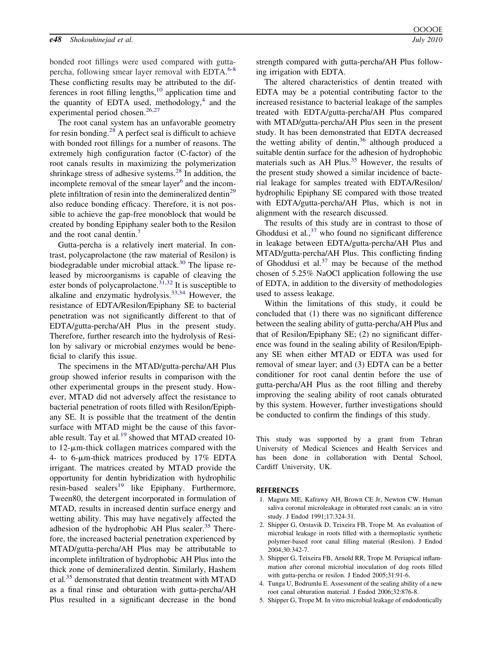#### <span id="page-3-0"></span>*e48 Shokouhinejad et al. July 2010*

bonded root fillings were used compared with gutta-percha, following smear layer removal with EDTA.<sup>[6-8](#page-4-0)</sup> These conflicting results may be attributed to the differences in root filling lengths, $10$  application time and the quantity of EDTA used, methodology, $4$  and the experimental period chosen.<sup>[26,27](#page-4-0)</sup>

The root canal system has an unfavorable geometry for resin bonding.<sup>28</sup> A perfect seal is difficult to achieve with bonded root fillings for a number of reasons. The extremely high configuration factor (C-factor) of the root canals results in maximizing the polymerization shrinkage stress of adhesive systems.[28](#page-4-0) In addition, the incomplete removal of the smear layer<sup>[6](#page-4-0)</sup> and the incomplete infiltration of resin into the demineralized dentin<sup>29</sup> also reduce bonding efficacy. Therefore, it is not possible to achieve the gap-free monoblock that would be created by bonding Epiphany sealer both to the Resilon and the root canal dentin.<sup>[7](#page-4-0)</sup>

Gutta-percha is a relatively inert material. In contrast, polycaprolactone (the raw material of Resilon) is biodegradable under microbial attack. $30$  The lipase released by microorganisms is capable of cleaving the ester bonds of polycaprolactone. $31,32$  It is susceptible to alkaline and enzymatic hydrolysis.[33,34](#page-4-0) However, the resistance of EDTA/Resilon/Epiphany SE to bacterial penetration was not significantly different to that of EDTA/gutta-percha/AH Plus in the present study. Therefore, further research into the hydrolysis of Resilon by salivary or microbial enzymes would be beneficial to clarify this issue.

The specimens in the MTAD/gutta-percha/AH Plus group showed inferior results in comparison with the other experimental groups in the present study. However, MTAD did not adversely affect the resistance to bacterial penetration of roots filled with Resilon/Epiphany SE. It is possible that the treatment of the dentin surface with MTAD might be the cause of this favorable result. Tay et al*.* [19](#page-4-0) showed that MTAD created 10 to  $12$ - $\mu$ m-thick collagen matrices compared with the 4- to 6- $\mu$ m-thick matrices produced by 17% EDTA irrigant. The matrices created by MTAD provide the opportunity for dentin hybridization with hydrophilic resin-based sealers<sup>[19](#page-4-0)</sup> like Epiphany. Furthermore, Tween80, the detergent incorporated in formulation of MTAD, results in increased dentin surface energy and wetting ability. This may have negatively affected the adhesion of the hydrophobic AH Plus sealer. $35$  Therefore, the increased bacterial penetration experienced by MTAD/gutta-percha/AH Plus may be attributable to incomplete infiltration of hydrophobic AH Plus into the thick zone of demineralized dentin. Similarly, Hashem et al*.* [35](#page-4-0) demonstrated that dentin treatment with MTAD as a final rinse and obturation with gutta-percha/AH Plus resulted in a significant decrease in the bond strength compared with gutta-percha/AH Plus following irrigation with EDTA.

The altered characteristics of dentin treated with EDTA may be a potential contributing factor to the increased resistance to bacterial leakage of the samples treated with EDTA/gutta-percha/AH Plus compared with MTAD/gutta-percha/AH Plus seen in the present study. It has been demonstrated that EDTA decreased the wetting ability of dentin,<sup>[36](#page-4-0)</sup> although produced a suitable dentin surface for the adhesion of hydrophobic materials such as AH Plus.<sup>[35](#page-4-0)</sup> However, the results of the present study showed a similar incidence of bacterial leakage for samples treated with EDTA/Resilon/ hydrophilic Epiphany SE compared with those treated with EDTA/gutta-percha/AH Plus, which is not in alignment with the research discussed.

The results of this study are in contrast to those of Ghoddusi et al*.*, [37](#page-4-0) who found no significant difference in leakage between EDTA/gutta-percha/AH Plus and MTAD/gutta-percha/AH Plus. This conflicting finding of Ghoddusi et al. $37$  may be because of the method chosen of 5.25% NaOCl application following the use of EDTA, in addition to the diversity of methodologies used to assess leakage.

Within the limitations of this study, it could be concluded that (1) there was no significant difference between the sealing ability of gutta-percha/AH Plus and that of Resilon/Epiphany SE; (2) no significant difference was found in the sealing ability of Resilon/Epiphany SE when either MTAD or EDTA was used for removal of smear layer; and (3) EDTA can be a better conditioner for root canal dentin before the use of gutta-percha/AH Plus as the root filling and thereby improving the sealing ability of root canals obturated by this system. However, further investigations should be conducted to confirm the findings of this study.

This study was supported by a grant from Tehran University of Medical Sciences and Health Services and has been done in collaboration with Dental School, Cardiff University, UK.

#### **REFERENCES**

- 1. Magura ME, Kafrawy AH, Brown CE Jr, Newton CW. Human saliva coronal microleakage in obturated root canals: an in vitro study. J Endod 1991;17:324-31.
- 2. Shipper G, Orstavik D, Teixeira FB, Trope M. An evaluation of microbial leakage in roots filled with a thermoplastic synthetic polymer-based root canal filling material (Resilon). J Endod 2004;30:342-7.
- 3. Shipper G, Teixeira FB, Arnold RR, Trope M. Periapical inflammation after coronal microbial inoculation of dog roots filled with gutta-percha or resilon. J Endod 2005;31:91-6.
- 4. Tunga U, Bodrumlu E. Assessment of the sealing ability of a new root canal obturation material. J Endod 2006;32:876-8.
- 5. Shipper G, Trope M. In vitro microbial leakage of endodontically